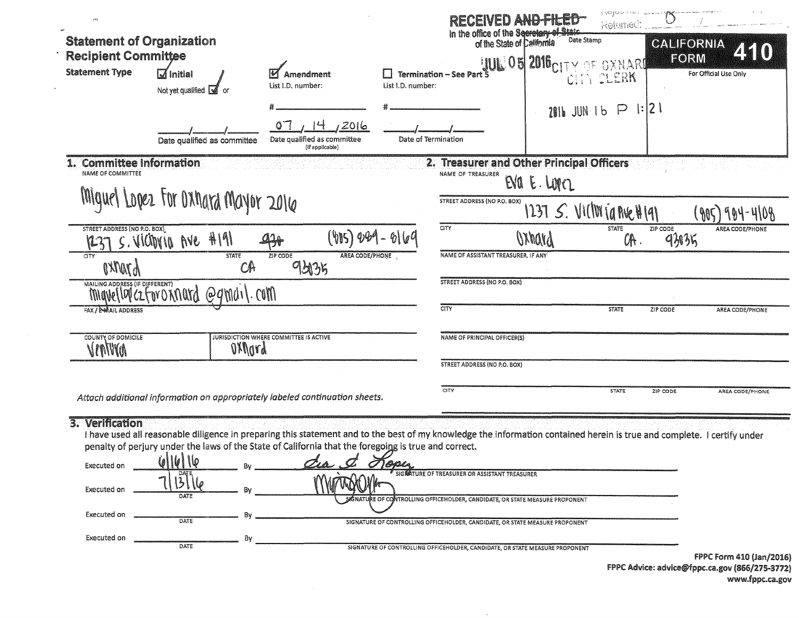| $\mathcal{L}_{\mathcal{M}}$                                                             |                                                                                                                        |                                                                             |                                                                                                                                                                                                                                 | <b>RECEIVED AND-FILED</b>                                                                                                | nguni eeng<br>Returned:         |                                                     |
|-----------------------------------------------------------------------------------------|------------------------------------------------------------------------------------------------------------------------|-----------------------------------------------------------------------------|---------------------------------------------------------------------------------------------------------------------------------------------------------------------------------------------------------------------------------|--------------------------------------------------------------------------------------------------------------------------|---------------------------------|-----------------------------------------------------|
| <b>Statement of Organization</b><br><b>Recipient Committee</b><br><b>Statement Type</b> | $\overline{M}$ Initial<br>Not yet qualified $\boxed{3}$ or                                                             | Amendment<br>List I.D. number:                                              | <b>Termination - See Part 5</b><br>List I.D. number:                                                                                                                                                                            | in the office of the Secretary of State<br>Date Stamp<br>of the State of California<br><b>JUL 05 2016 CITY OF OXNARD</b> | CITY CLERK                      | CALIFORNIA<br>ZKKO<br>FORM<br>For Official Use Only |
|                                                                                         | Date qualified as committee                                                                                            | 14/2016<br>O <sub>1</sub><br>Date qualified as committee<br>(If applicable) | Date of Termination                                                                                                                                                                                                             |                                                                                                                          | $2016$ JUN 1 b $\Box$ 1:12 1    |                                                     |
| <b>Committee Information</b><br>NAME OF COMMITTEE                                       |                                                                                                                        |                                                                             | NAME OF TREASURER                                                                                                                                                                                                               | 2. Treasurer and Other Principal Officers<br>EVA E. LOPEZ                                                                |                                 |                                                     |
|                                                                                         | Miquel Lopez For Oxhard Mayor 2016                                                                                     |                                                                             | STREET ADDRESS (NO P.O. BOX)                                                                                                                                                                                                    | 1237 $S$ . VICIWIA AVEHIAI                                                                                               |                                 | 904-4108<br>$\mathcal{M}$                           |
| STREET ADDRESS (NO P.O. BOX)                                                            | S. VICTOVIO AVE HIM                                                                                                    | (VIS) 089<br>$47 -$                                                         | CITY                                                                                                                                                                                                                            | OXhard                                                                                                                   | <b>STATE</b><br>ZIP CODE<br>OR. | AREA CODE/PHONE<br>935                              |
| CITY<br><b>AYMYA</b>                                                                    | <b>STATE</b><br>CA                                                                                                     | ZIP CODE<br>AREA CODE/PHONE<br>9.2135                                       | NAME OF ASSISTANT TREASURER, IF ANY                                                                                                                                                                                             |                                                                                                                          |                                 |                                                     |
|                                                                                         | Malling ADDRESS (IF DIFFERENT)<br>MIGUE   DV CZ FOY O KNURY @9 MU I \. COM                                             |                                                                             | <b>STREET ADDRESS (NO P.O. BOX)</b>                                                                                                                                                                                             |                                                                                                                          |                                 |                                                     |
| FAX / E-MAIL ADDRESS                                                                    |                                                                                                                        |                                                                             | CITY                                                                                                                                                                                                                            |                                                                                                                          | <b>STATE</b><br>ZIP CODE        | AREA CODE/PHONE                                     |
| COUNTY OF DOMICILE<br>Vinnna                                                            | oxnord                                                                                                                 | JURISDICTION WHERE COMMITTEE IS ACTIVE                                      | NAME OF PRINCIPAL OFFICER(S)                                                                                                                                                                                                    |                                                                                                                          |                                 |                                                     |
|                                                                                         |                                                                                                                        |                                                                             | <b>STREET ADDRESS (NO P.O. BOX)</b>                                                                                                                                                                                             |                                                                                                                          |                                 |                                                     |
|                                                                                         | Attach additional information on appropriately labeled continuation sheets.                                            |                                                                             | <b>CITY</b>                                                                                                                                                                                                                     |                                                                                                                          | <b>STATE</b><br>ZIP CODE        | AREA CODE/PHONE                                     |
| 3. Verification<br>Executed on                                                          | penalty of perjury under the laws of the State of California that the foregoing is true and correct.<br>6/16/16<br>DAT | $\sigma$ <sub>A</sub><br>$\sigma$                                           | I have used all reasonable diligence in preparing this statement and to the best of my knowledge the information contained herein is true and complete. I certify under<br>How<br>SIGNATURE OF TREASURER OR ASSISTANT TREASURER |                                                                                                                          |                                 |                                                     |
| Executed on                                                                             | Bv<br>DATE                                                                                                             |                                                                             | SIGNATURE OF CONTROLLING OFFICEHOLDER, CANDIDATE, OR STATE MEASURE PROPONENT                                                                                                                                                    |                                                                                                                          |                                 |                                                     |
| Executed on                                                                             | B٧<br>DATE                                                                                                             |                                                                             | SIGNATURE OF CONTROLLING OFFICEHOLDER, CANDIDATE, OR STATE MEASURE PROPONENT                                                                                                                                                    |                                                                                                                          |                                 |                                                     |
| Executed on                                                                             | Bv<br>DATE                                                                                                             |                                                                             | SIGNATURE OF CONTROLLING OFFICEHOLDER, CANDIDATE, OR STATE MEASURE PROPONENT                                                                                                                                                    |                                                                                                                          |                                 |                                                     |
|                                                                                         |                                                                                                                        |                                                                             |                                                                                                                                                                                                                                 |                                                                                                                          |                                 | FPPC Form 410 (Jan/2016)                            |

 $\sim 100$ 

 $\sim 10^{11}$ 

FPPC Advice: advice@fppc.ca.gov (866/275-3772) www.fppc.ca.gov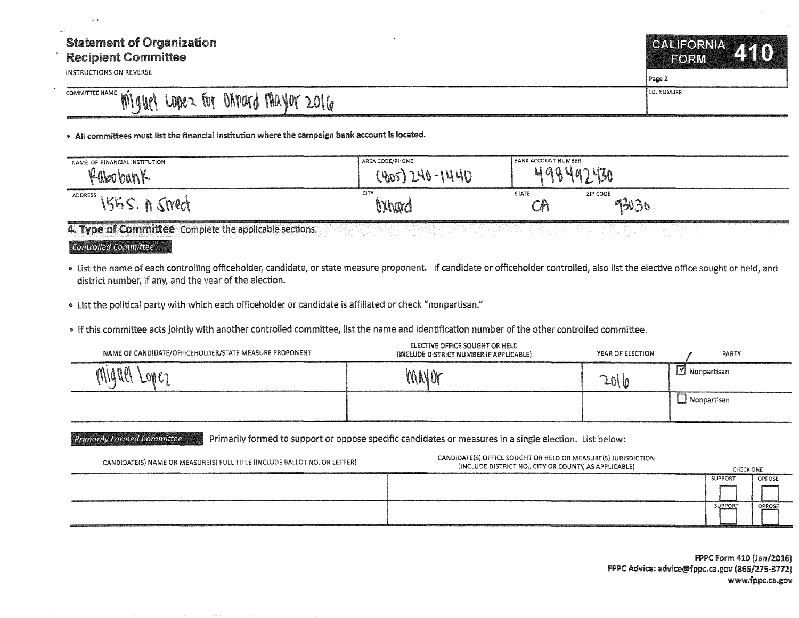## Statement of Organization Recipient Committee

INSTRUCTIONS ON REVERSE

CALIFORNIA AT 1 FORM Page 2

COMMITTEE NAME MILL LODER FOT ONTORY MAYOR 2016

• All committees must list the financial institution where the campaign bank account is located.

| NAME OF FINANCIAL INSTITUTION | AREA CODE/PHONE              | <b>BANK ACCOUNT NUMBER</b>                               |
|-------------------------------|------------------------------|----------------------------------------------------------|
| n/P<br>Kaboban.               | 190                          | $\mathbb{A}$ $\Lambda$<br>IV                             |
| ADDRESS<br>``M <i>llo</i> n   | CITY<br><b><i>OXhard</i></b> | <b>STATE</b><br>ZIP CODE<br>93030<br>$-1$<br>$\check{ }$ |

4. Type of Committee Complete the applicable sections.

Controlled Committee

- "' list the name of each controlling officeholder, candidate, or state measure proponent. If candidate or officeholder controlled, also list the elective office sought or held, and district number, if any, and the year of the election.
- "' list the political party with which each officeholder or candidate is affiliated or check "nonpartisan."
- "' if this committee acts jointly with another controlled committee, list the name and identification number of the other controlled committee.

| NAME OF CANDIDATE/OFFICEHOLDER/STATE MEASURE PROPONENT | ELECTIVE OFFICE SOUGHT OR HELD<br>(INCLUDE DISTRICT NUMBER IF APPLICABLE) | YEAR OF ELECTION | PARTY                    |
|--------------------------------------------------------|---------------------------------------------------------------------------|------------------|--------------------------|
| MYNM<br>ฟโ                                             | MAVOY                                                                     | 2016             | $\mathbb{M}$ Nonpartisan |
|                                                        |                                                                           |                  | $\Box$ Nonpartisan       |

Primarily Formed Committee **Primarily formed to support or oppose specific candidates or measures in a single election. List below:** 

|                                                                           |                                                               | <b>SUPPORT</b> | OPPOSE |
|---------------------------------------------------------------------------|---------------------------------------------------------------|----------------|--------|
|                                                                           |                                                               |                |        |
|                                                                           |                                                               | SUPPORT        | OPPOSE |
| CANDIDATE(S) NAME OR MEASURE(S) FULL TITLE (INCLUDE BALLOT NO. OR LETTER) | (INCLUDE DISTRICT NO., CITY OR COUNTY, AS APPLICABLE)         | CHECK ONE      |        |
|                                                                           | CANDIDATE(S) OFFICE SOUGHT OR HELD OR MEASURE(S) JURISDICTION |                |        |

FPPC form 410 (Jan/2016) f PPC Advice: advice@fppc.ca.gov (866/275-3172) www.fppc.ca.gov